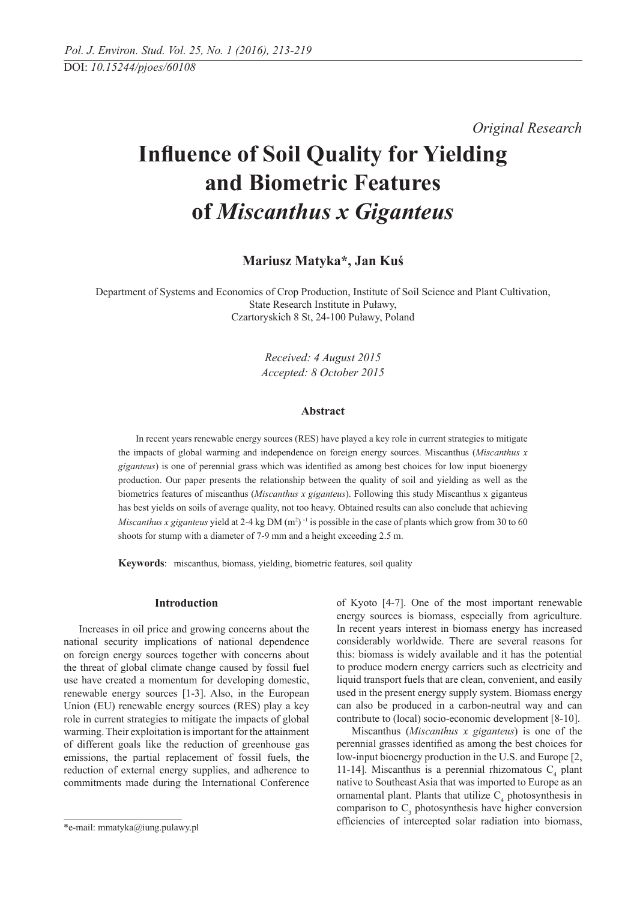*Original Research*

# **Influence of Soil Quality for Yielding and Biometric Features of** *Miscanthus x Giganteus*

**Mariusz Matyka\*, Jan Kuś**

Department of Systems and Economics of Crop Production, Institute of Soil Science and Plant Cultivation, State Research Institute in Puławy, Czartoryskich 8 St, 24-100 Puławy, Poland

> *Received: 4 August 2015 Accepted: 8 October 2015*

# **Abstract**

 In recent years renewable energy sources (RES) have played a key role in current strategies to mitigate the impacts of global warming and independence on foreign energy sources. Miscanthus (*Miscanthus x giganteus*) is one of perennial grass which was identified as among best choices for low input bioenergy production. Our paper presents the relationship between the quality of soil and yielding as well as the biometrics features of miscanthus (*Miscanthus x giganteus*). Following this study Miscanthus x giganteus has best yields on soils of average quality, not too heavy. Obtained results can also conclude that achieving *Miscanthus x giganteus* yield at 2-4 kg DM  $(m^2)$ <sup>-1</sup> is possible in the case of plants which grow from 30 to 60 shoots for stump with a diameter of 7-9 mm and a height exceeding 2.5 m.

**Keywords**: miscanthus, biomass, yielding, biometric features, soil quality

### **Introduction**

Increases in oil price and growing concerns about the national security implications of national dependence on foreign energy sources together with concerns about the threat of global climate change caused by fossil fuel use have created a momentum for developing domestic, renewable energy sources [1-3]. Also, in the European Union (EU) renewable energy sources (RES) play a key role in current strategies to mitigate the impacts of global warming. Their exploitation is important for the attainment of different goals like the reduction of greenhouse gas emissions, the partial replacement of fossil fuels, the reduction of external energy supplies, and adherence to commitments made during the International Conference of Kyoto [4-7]. One of the most important renewable energy sources is biomass, especially from agriculture. In recent years interest in biomass energy has increased considerably worldwide. There are several reasons for this: biomass is widely available and it has the potential to produce modern energy carriers such as electricity and liquid transport fuels that are clean, convenient, and easily used in the present energy supply system. Biomass energy can also be produced in a carbon-neutral way and can contribute to (local) socio-economic development [8-10].

Miscanthus (*Miscanthus x giganteus*) is one of the perennial grasses identified as among the best choices for low-input bioenergy production in the U.S. and Europe [2, 11-14]. Miscanthus is a perennial rhizomatous  $C_4$  plant native to Southeast Asia that was imported to Europe as an ornamental plant. Plants that utilize  $C_4$  photosynthesis in comparison to  $C_3$  photosynthesis have higher conversion efficiencies of intercepted solar radiation into biomass,

<sup>\*</sup>e-mail: mmatyka@iung.pulawy.pl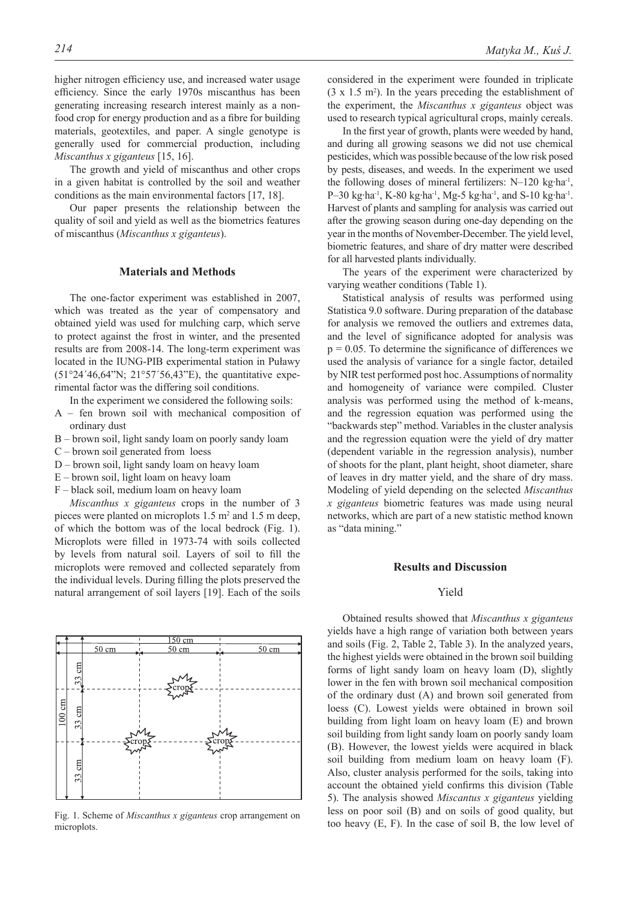higher nitrogen efficiency use, and increased water usage efficiency. Since the early 1970s miscanthus has been generating increasing research interest mainly as a nonfood crop for energy production and as a fibre for building materials, geotextiles, and paper. A single genotype is generally used for commercial production, including *Miscanthus x giganteus* [15, 16].

The growth and yield of miscanthus and other crops in a given habitat is controlled by the soil and weather conditions as the main environmental factors [17, 18].

Our paper presents the relationship between the quality of soil and yield as well as the biometrics features of miscanthus (*Miscanthus x giganteus*).

#### **Materials and Methods**

The one-factor experiment was established in 2007, which was treated as the year of compensatory and obtained yield was used for mulching carp, which serve to protect against the frost in winter, and the presented results are from 2008-14. The long-term experiment was located in the IUNG-PIB experimental station in Puławy  $(51°24'46,64"N; 21°57'56,43"E)$ , the quantitative experimental factor was the differing soil conditions.

In the experiment we considered the following soils:

- A fen brown soil with mechanical composition of ordinary dust
- B brown soil, light sandy loam on poorly sandy loam
- C brown soil generated from loess
- D brown soil, light sandy loam on heavy loam
- E brown soil, light loam on heavy loam
- F black soil, medium loam on heavy loam

*Miscanthus x giganteus* crops in the number of 3 pieces were planted on microplots  $1.5 \text{ m}^2$  and  $1.5 \text{ m}$  deep, of which the bottom was of the local bedrock (Fig. 1). Microplots were filled in 1973-74 with soils collected by levels from natural soil. Layers of soil to fill the microplots were removed and collected separately from the individual levels. During filling the plots preserved the natural arrangement of soil layers [19]. Each of the soils



microplots.

considered in the experiment were founded in triplicate  $(3 \times 1.5 \text{ m}^2)$ . In the years preceding the establishment of the experiment, the *Miscanthus x giganteus* object was used to research typical agricultural crops, mainly cereals.

In the first year of growth, plants were weeded by hand, and during all growing seasons we did not use chemical pesticides, which was possible because of the low risk posed by pests, diseases, and weeds. In the experiment we used the following doses of mineral fertilizers: N–120 kg·ha-1, P–30 kg·ha-1, K-80 kg·ha-1, Mg-5 kg·ha-1, and S-10 kg·ha-1. Harvest of plants and sampling for analysis was carried out after the growing season during one-day depending on the year in the months of November-December. The yield level, biometric features, and share of dry matter were described for all harvested plants individually.

The years of the experiment were characterized by varying weather conditions (Table 1).

Statistical analysis of results was performed using Statistica 9.0 software. During preparation of the database for analysis we removed the outliers and extremes data, and the level of significance adopted for analysis was  $p = 0.05$ . To determine the significance of differences we used the analysis of variance for a single factor, detailed by NIR test performed post hoc. Assumptions of normality and homogeneity of variance were compiled. Cluster analysis was performed using the method of k-means, and the regression equation was performed using the "backwards step" method. Variables in the cluster analysis and the regression equation were the yield of dry matter (dependent variable in the regression analysis), number of shoots for the plant, plant height, shoot diameter, share of leaves in dry matter yield, and the share of dry mass. Modeling of yield depending on the selected *Miscanthus x giganteus* biometric features was made using neural networks, which are part of a new statistic method known as "data mining."

### **Results and Discussion**

# Yield

Obtained results showed that *Miscanthus x giganteus* yields have a high range of variation both between years and soils (Fig. 2, Table 2, Table 3). In the analyzed years, the highest yields were obtained in the brown soil building forms of light sandy loam on heavy loam (D), slightly lower in the fen with brown soil mechanical composition of the ordinary dust (A) and brown soil generated from loess (C). Lowest yields were obtained in brown soil building from light loam on heavy loam (E) and brown soil building from light sandy loam on poorly sandy loam (B). However, the lowest yields were acquired in black soil building from medium loam on heavy loam (F). Also, cluster analysis performed for the soils, taking into account the obtained yield confirms this division (Table 5). The analysis showed *Miscantus x giganteus* yielding less on poor soil (B) and on soils of good quality, but Fig. 1. Scheme of *Miscanthus x giganteus* crop arrangement on the reason poor soil (B) and on solis of good quality, but too heavy (E, F). In the case of soil B, the low level of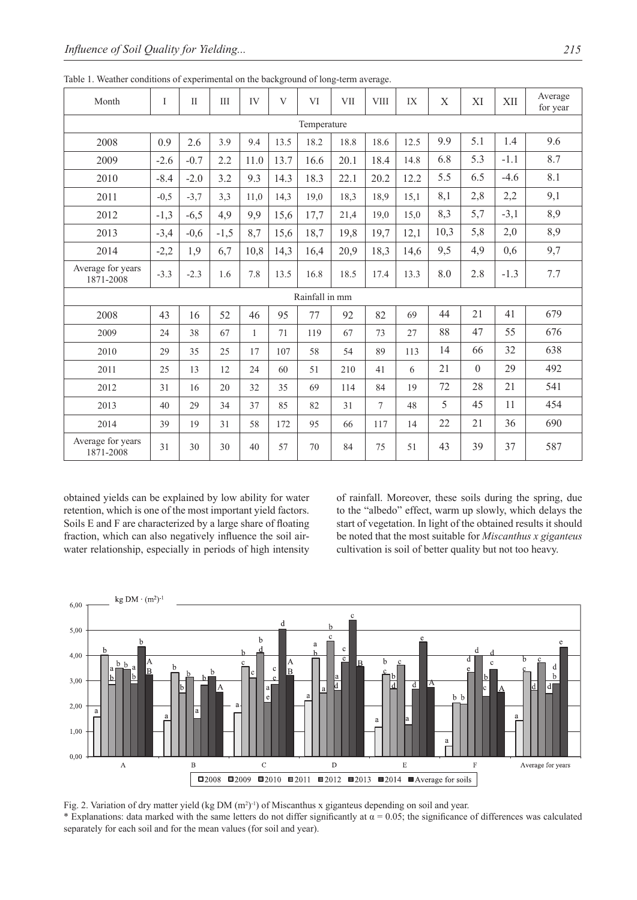| Month                          | I           | $\mathbf{I}$ | III    | IV           | V    | VI   | <b>VII</b> | <b>VIII</b> | IX   | $\mathbf X$ | XI       | XII    | Average<br>for year |
|--------------------------------|-------------|--------------|--------|--------------|------|------|------------|-------------|------|-------------|----------|--------|---------------------|
|                                | Temperature |              |        |              |      |      |            |             |      |             |          |        |                     |
| 2008                           | 0.9         | 2.6          | 3.9    | 9.4          | 13.5 | 18.2 | 18.8       | 18.6        | 12.5 | 9.9         | 5.1      | 1.4    | 9.6                 |
| 2009                           | $-2.6$      | $-0.7$       | 2.2    | 11.0         | 13.7 | 16.6 | 20.1       | 18.4        | 14.8 | 6.8         | 5.3      | $-1.1$ | 8.7                 |
| 2010                           | $-8.4$      | $-2.0$       | 3.2    | 9.3          | 14.3 | 18.3 | 22.1       | 20.2        | 12.2 | 5.5         | 6.5      | $-4.6$ | 8.1                 |
| 2011                           | $-0,5$      | $-3,7$       | 3,3    | 11,0         | 14,3 | 19,0 | 18,3       | 18,9        | 15,1 | 8,1         | 2,8      | 2,2    | 9,1                 |
| 2012                           | $-1,3$      | $-6,5$       | 4,9    | 9,9          | 15,6 | 17,7 | 21,4       | 19,0        | 15,0 | 8,3         | 5,7      | $-3,1$ | 8,9                 |
| 2013                           | $-3,4$      | $-0,6$       | $-1,5$ | 8,7          | 15,6 | 18,7 | 19,8       | 19,7        | 12,1 | 10,3        | 5,8      | 2,0    | 8,9                 |
| 2014                           | $-2,2$      | 1,9          | 6,7    | 10,8         | 14,3 | 16,4 | 20,9       | 18,3        | 14,6 | 9,5         | 4,9      | 0,6    | 9,7                 |
| Average for years<br>1871-2008 | $-3.3$      | $-2.3$       | 1.6    | 7.8          | 13.5 | 16.8 | 18.5       | 17.4        | 13.3 | 8.0         | 2.8      | $-1.3$ | 7.7                 |
| Rainfall in mm                 |             |              |        |              |      |      |            |             |      |             |          |        |                     |
| 2008                           | 43          | 16           | 52     | 46           | 95   | 77   | 92         | 82          | 69   | 44          | 21       | 41     | 679                 |
| 2009                           | 24          | 38           | 67     | $\mathbf{1}$ | 71   | 119  | 67         | 73          | 27   | 88          | 47       | 55     | 676                 |
| 2010                           | 29          | 35           | 25     | 17           | 107  | 58   | 54         | 89          | 113  | 14          | 66       | 32     | 638                 |
| 2011                           | 25          | 13           | 12     | 24           | 60   | 51   | 210        | 41          | 6    | 21          | $\theta$ | 29     | 492                 |
| 2012                           | 31          | 16           | 20     | 32           | 35   | 69   | 114        | 84          | 19   | 72          | 28       | 21     | 541                 |
| 2013                           | 40          | 29           | 34     | 37           | 85   | 82   | 31         | $\tau$      | 48   | 5           | 45       | 11     | 454                 |
| 2014                           | 39          | 19           | 31     | 58           | 172  | 95   | 66         | 117         | 14   | 22          | 21       | 36     | 690                 |
| Average for years<br>1871-2008 | 31          | 30           | 30     | 40           | 57   | 70   | 84         | 75          | 51   | 43          | 39       | 37     | 587                 |

Table 1. Weather conditions of experimental on the background of long-term average.

obtained yields can be explained by low ability for water retention, which is one of the most important yield factors. Soils E and F are characterized by a large share of floating fraction, which can also negatively influence the soil airwater relationship, especially in periods of high intensity of rainfall. Moreover, these soils during the spring, due to the "albedo" effect, warm up slowly, which delays the start of vegetation. In light of the obtained results it should be noted that the most suitable for *Miscanthus x giganteus* cultivation is soil of better quality but not too heavy.



Fig. 2. Variation of dry matter yield (kg DM  $(m^2)^{-1}$ ) of Miscanthus x giganteus depending on soil and year. \* Explanations: data marked with the same letters do not differ significantly at  $\alpha$  = 0.05; the significance of differences was calculated separately for each soil and for the mean values (for soil and year).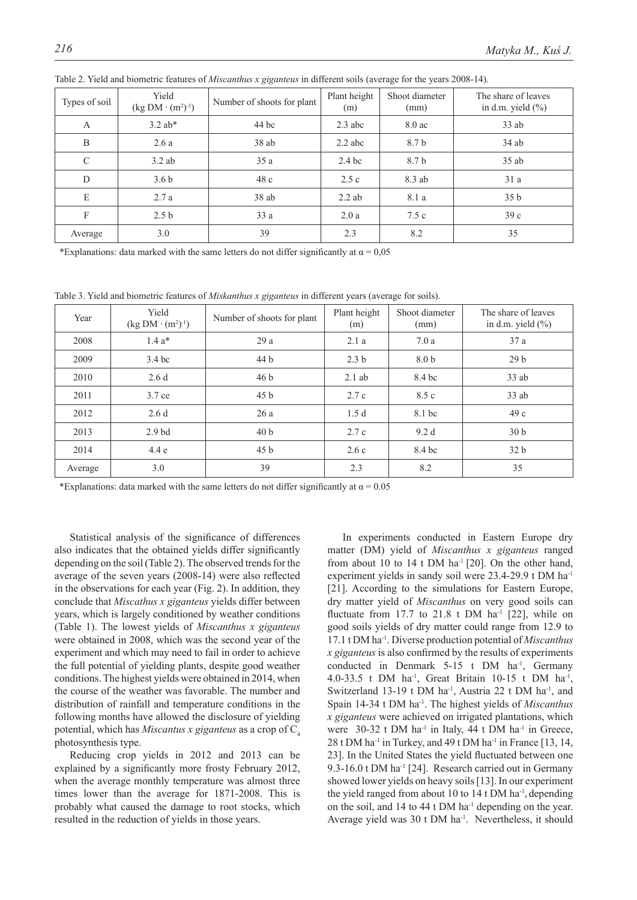| Types of soil | Yield<br>$(kg DM \cdot (m^2)^{-1})$ | Number of shoots for plant | Plant height<br>(m) | Shoot diameter<br>(mm) | The share of leaves<br>in d.m. yield $(\%)$ |
|---------------|-------------------------------------|----------------------------|---------------------|------------------------|---------------------------------------------|
| $\mathbf{A}$  | $3.2$ ab*                           | 44 bc                      | $2.3$ abc           | $8.0 \text{ ac}$       | $33$ ab                                     |
| B             | 2.6a                                | 38ab                       | $2.2$ abc           | 8.7 b                  | $34$ ab                                     |
| $\mathcal{C}$ | $3.2$ ab                            | 35a                        | 2.4 <sub>bc</sub>   | 8.7 b                  | $35$ ab                                     |
| D             | 3.6 <sub>b</sub>                    | 48c                        | 2.5c                | 8.3 ab                 | 31a                                         |
| E             | 2.7a                                | 38ab                       | $2.2$ ab            | 8.1 a                  | 35 <sub>b</sub>                             |
| F             | 2.5 <sub>b</sub>                    | 33a                        | 2.0a                | 7.5c                   | 39c                                         |
| Average       | 3.0                                 | 39                         | 2.3                 | 8.2                    | 35                                          |

Table 2. Yield and biometric features of *Miscanthus x giganteus* in different soils (average for the years 2008-14).

\*Explanations: data marked with the same letters do not differ significantly at  $\alpha$  = 0,05

Table 3. Yield and biometric features of *Miskanthus x giganteus* in different years (average for soils).

| Year    | Yield<br>$(kg DM \cdot (m^2)^{-1})$ | Number of shoots for plant | Plant height<br>(m) | Shoot diameter<br>(mm) | The share of leaves<br>in d.m. yield $(\% )$ |
|---------|-------------------------------------|----------------------------|---------------------|------------------------|----------------------------------------------|
| 2008    | $1.4a*$                             | 29a                        | 2.1a                | 7.0a                   | 37a                                          |
| 2009    | 3.4 <sub>bc</sub>                   | 44 b                       | 2.3 <sub>b</sub>    | 8.0 <sub>b</sub>       | 29 <sub>b</sub>                              |
| 2010    | 2.6d                                | 46 <sub>b</sub>            | $2.1$ ab            | 8.4 bc                 | $33$ ab                                      |
| 2011    | 3.7 ce                              | 45 <sub>b</sub>            | 2.7c                | 8.5 c                  | $33$ ab                                      |
| 2012    | 2.6d                                | 26a                        | 1.5d                | 8.1 bc                 | 49c                                          |
| 2013    | 2.9 <sub>bd</sub>                   | 40 <sub>b</sub>            | 2.7c                | 9.2d                   | 30 <sub>b</sub>                              |
| 2014    | 4.4e                                | 45 <sub>b</sub>            | 2.6c                | 8.4 bc                 | 32 <sub>b</sub>                              |
| Average | 3.0                                 | 39                         | 2.3                 | 8.2                    | 35                                           |

\*Explanations: data marked with the same letters do not differ significantly at  $\alpha$  = 0.05

Statistical analysis of the significance of differences also indicates that the obtained yields differ significantly depending on the soil (Table 2). The observed trends for the average of the seven years (2008-14) were also reflected in the observations for each year (Fig. 2). In addition, they conclude that *Miscathus x giganteus* yields differ between years, which is largely conditioned by weather conditions (Table 1). The lowest yields of *Miscanthus x giganteus*  were obtained in 2008, which was the second year of the experiment and which may need to fail in order to achieve the full potential of yielding plants, despite good weather conditions. The highest yields were obtained in 2014, when the course of the weather was favorable. The number and distribution of rainfall and temperature conditions in the following months have allowed the disclosure of yielding potential, which has *Miscantus x giganteus* as a crop of C4 photosynthesis type.

Reducing crop yields in 2012 and 2013 can be explained by a significantly more frosty February 2012, when the average monthly temperature was almost three times lower than the average for 1871-2008. This is probably what caused the damage to root stocks, which resulted in the reduction of yields in those years.

In experiments conducted in Eastern Europe dry matter (DM) yield of *Miscanthus x giganteus* ranged from about 10 to 14 t DM ha<sup>-1</sup> [20]. On the other hand, experiment yields in sandy soil were 23.4-29.9 t DM ha<sup>-1</sup> [21]. According to the simulations for Eastern Europe, dry matter yield of *Miscanthus* on very good soils can fluctuate from 17.7 to 21.8 t DM ha<sup>-1</sup> [22], while on good soils yields of dry matter could range from 12.9 to 17.1 t DM ha-1. Diverse production potential of *Miscanthus x giganteus* is also confirmed by the results of experiments conducted in Denmark 5-15 t DM ha<sup>-1</sup>, Germany 4.0-33.5 t DM ha<sup>-1</sup>, Great Britain 10-15 t DM ha<sup>-1</sup>, Switzerland 13-19 t DM ha<sup>-1</sup>, Austria 22 t DM ha<sup>-1</sup>, and Spain 14-34 t DM ha-1. The highest yields of *Miscanthus x giganteus* were achieved on irrigated plantations, which were 30-32 t DM ha<sup>-1</sup> in Italy, 44 t DM ha<sup>-1</sup> in Greece, 28 t DM ha<sup>-1</sup> in Turkey, and 49 t DM ha<sup>-1</sup> in France [13, 14, 23]. In the United States the yield fluctuated between one 9.3-16.0 t DM ha<sup>-1</sup> [24]. Research carried out in Germany showed lower yields on heavy soils [13]. In our experiment the yield ranged from about 10 to 14 t DM ha-1, depending on the soil, and 14 to 44 t DM ha<sup>-1</sup> depending on the year. Average yield was 30 t DM ha<sup>-1</sup>. Nevertheless, it should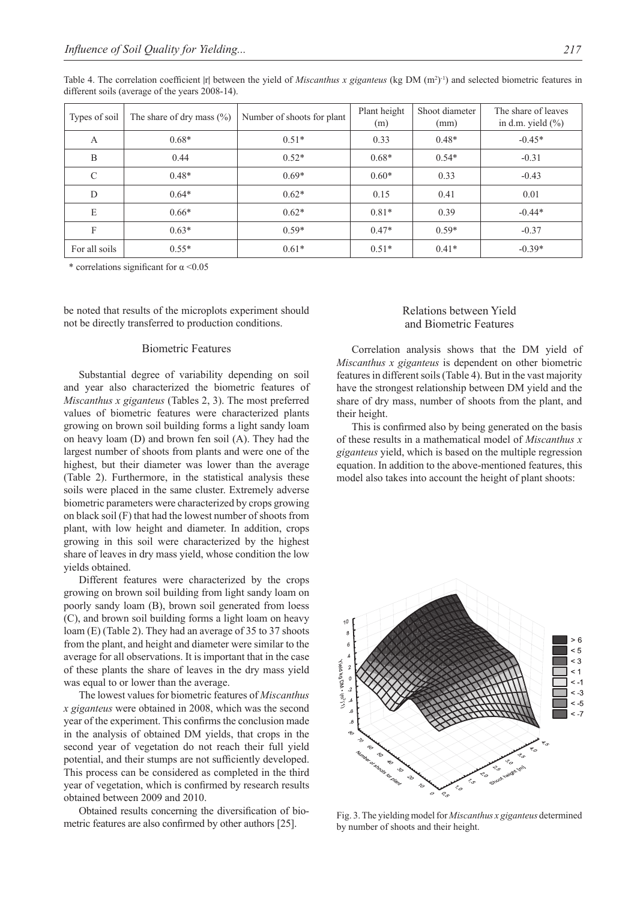| Types of soil | The share of dry mass $(\%)$ | Number of shoots for plant | Plant height<br>(m) | Shoot diameter<br>(mm) | The share of leaves<br>in d.m. yield $(\% )$ |
|---------------|------------------------------|----------------------------|---------------------|------------------------|----------------------------------------------|
| A             | $0.68*$                      | $0.51*$                    | 0.33                | $0.48*$                | $-0.45*$                                     |
| B             | 0.44                         | $0.52*$                    | $0.68*$             | $0.54*$                | $-0.31$                                      |
| $\mathcal{C}$ | $0.48*$                      | $0.69*$                    | $0.60*$             | 0.33                   | $-0.43$                                      |
| D             | $0.64*$                      | $0.62*$                    | 0.15                | 0.41                   | 0.01                                         |
| E             | $0.66*$                      | $0.62*$                    | $0.81*$             | 0.39                   | $-0.44*$                                     |
| F             | $0.63*$                      | $0.59*$                    | $0.47*$             | $0.59*$                | $-0.37$                                      |
| For all soils | $0.55*$                      | $0.61*$                    | $0.51*$             | $0.41*$                | $-0.39*$                                     |

Table 4. The correlation coefficient |r| between the yield of *Miscanthus x giganteus* (kg DM  $(m^2)^{-1}$ ) and selected biometric features in different soils (average of the years 2008-14).

\* correlations significant for  $\alpha$  <0.05

be noted that results of the microplots experiment should not be directly transferred to production conditions.

### Biometric Features

Substantial degree of variability depending on soil and year also characterized the biometric features of *Miscanthus x giganteus* (Tables 2, 3). The most preferred values of biometric features were characterized plants growing on brown soil building forms a light sandy loam on heavy loam (D) and brown fen soil (A). They had the largest number of shoots from plants and were one of the highest, but their diameter was lower than the average (Table 2). Furthermore, in the statistical analysis these soils were placed in the same cluster. Extremely adverse biometric parameters were characterized by crops growing on black soil (F) that had the lowest number of shoots from plant, with low height and diameter. In addition, crops growing in this soil were characterized by the highest share of leaves in dry mass yield, whose condition the low yields obtained.

Different features were characterized by the crops growing on brown soil building from light sandy loam on poorly sandy loam (B), brown soil generated from loess (C), and brown soil building forms a light loam on heavy loam (E) (Table 2). They had an average of 35 to 37 shoots from the plant, and height and diameter were similar to the average for all observations. It is important that in the case of these plants the share of leaves in the dry mass yield was equal to or lower than the average.

The lowest values for biometric features of *Miscanthus x giganteus* were obtained in 2008, which was the second year of the experiment. This confirms the conclusion made in the analysis of obtained DM yields, that crops in the second year of vegetation do not reach their full yield potential, and their stumps are not sufficiently developed. This process can be considered as completed in the third year of vegetation, which is confirmed by research results obtained between 2009 and 2010.

Obtained results concerning the diversification of biometric features are also confirmed by other authors [25].

# Relations between Yield and Biometric Features

Correlation analysis shows that the DM yield of *Miscanthus x giganteus* is dependent on other biometric features in different soils (Table 4). But in the vast majority have the strongest relationship between DM yield and the share of dry mass, number of shoots from the plant, and their height.

This is confirmed also by being generated on the basis of these results in a mathematical model of *Miscanthus x giganteus* yield, which is based on the multiple regression equation. In addition to the above-mentioned features, this model also takes into account the height of plant shoots:



Fig. 3. The yielding model for *Miscanthus x giganteus* determined by number of shoots and their height.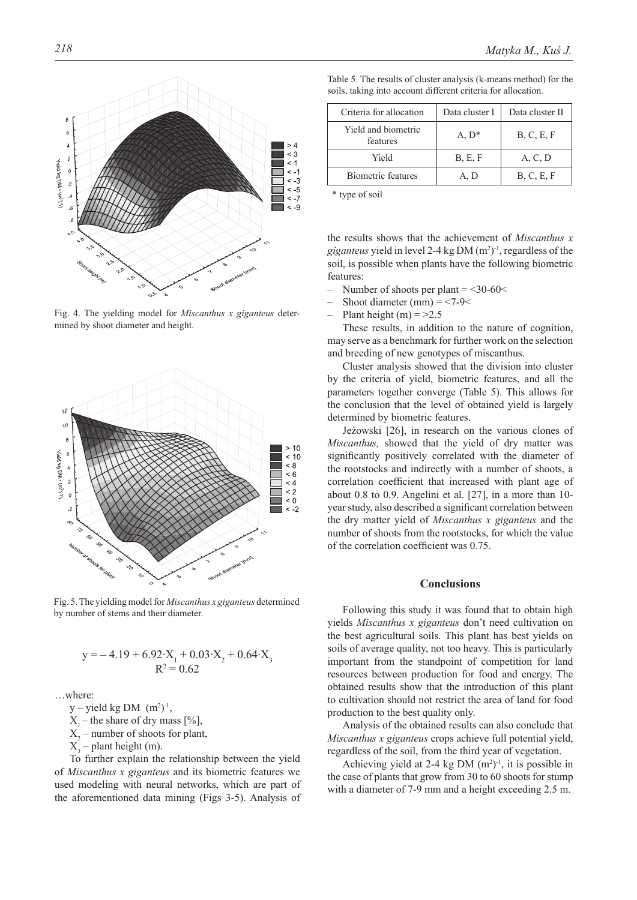

Fig. 4. The yielding model for *Miscanthus x giganteus* determined by shoot diameter and height.



Fig. 5. The yielding model for *Miscanthus x giganteus* determined by number of stems and their diameter.

$$
y = -4.19 + 6.92 \cdot X_1 + 0.03 \cdot X_2 + 0.64 \cdot X_3
$$
  

$$
R^2 = 0.62
$$

…where:

 $y$  – yield kg DM  $(m^2)^{-1}$ ,

- $X_1$  the share of dry mass [%],
- $X_2$  number of shoots for plant,

 $X_3$  – plant height (m).

To further explain the relationship between the yield of *Miscanthus x giganteus* and its biometric features we used modeling with neural networks, which are part of the aforementioned data mining (Figs 3-5). Analysis of

| Criteria for allocation         | Data cluster I | Data cluster II |
|---------------------------------|----------------|-----------------|
| Yield and biometric<br>features | $A, D^*$       | B, C, E, F      |
| Yield                           | B, E, F        | A, C, D         |
| Biometric features              | A, D           | B, C, E, F      |

Table 5. The results of cluster analysis (k-means method) for the soils, taking into account different criteria for allocation.

\* type of soil

the results shows that the achievement of *Miscanthus x*  giganteus yield in level 2-4 kg DM  $(m^2)$ <sup>-1</sup>, regardless of the soil, is possible when plants have the following biometric features:

- Number of shoots per plant  $=$  <30-60 $<$
- Shoot diameter (mm)  $=$  <7-9 $<$
- Plant height (m)  $=$  >2.5

These results, in addition to the nature of cognition, may serve as a benchmark for further work on the selection and breeding of new genotypes of miscanthus.

Cluster analysis showed that the division into cluster by the criteria of yield, biometric features, and all the parameters together converge (Table 5). This allows for the conclusion that the level of obtained yield is largely determined by biometric features.

Jeżowski [26], in research on the various clones of *Miscanthus,* showed that the yield of dry matter was significantly positively correlated with the diameter of the rootstocks and indirectly with a number of shoots, a correlation coefficient that increased with plant age of about 0.8 to 0.9. Angelini et al. [27], in a more than 10 year study, also described a significant correlation between the dry matter yield of *Miscanthus x giganteus* and the number of shoots from the rootstocks, for which the value of the correlation coefficient was 0.75.

# **Conclusions**

Following this study it was found that to obtain high yields *Miscanthus x giganteus* don't need cultivation on the best agricultural soils. This plant has best yields on soils of average quality, not too heavy. This is particularly important from the standpoint of competition for land resources between production for food and energy. The obtained results show that the introduction of this plant to cultivation should not restrict the area of land for food production to the best quality only.

Analysis of the obtained results can also conclude that *Miscanthus x giganteus* crops achieve full potential yield, regardless of the soil, from the third year of vegetation.

Achieving yield at 2-4 kg DM  $(m^2)$ <sup>-1</sup>, it is possible in the case of plants that grow from 30 to 60 shoots for stump with a diameter of 7-9 mm and a height exceeding 2.5 m.